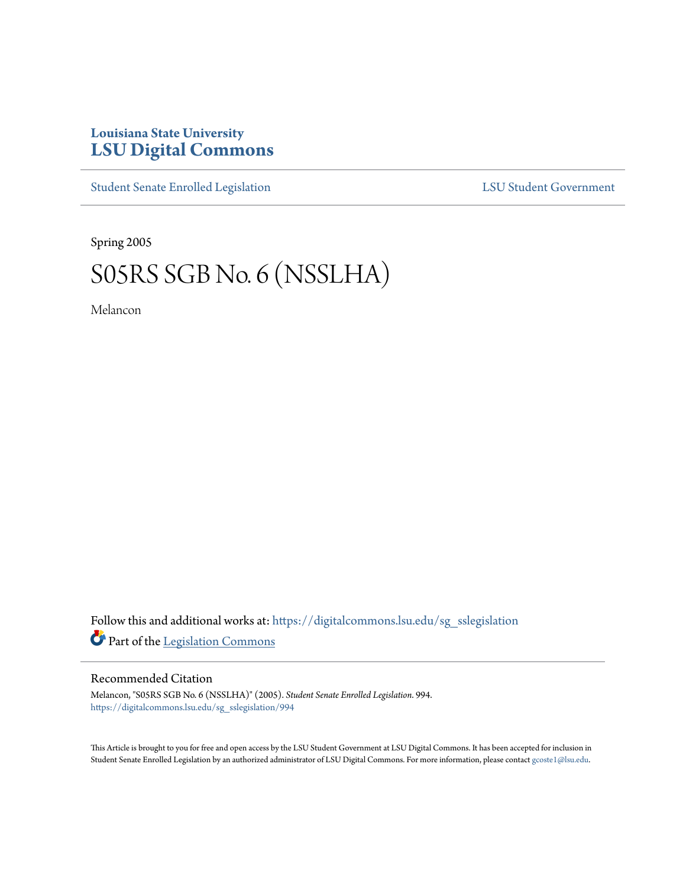## **Louisiana State University [LSU Digital Commons](https://digitalcommons.lsu.edu?utm_source=digitalcommons.lsu.edu%2Fsg_sslegislation%2F994&utm_medium=PDF&utm_campaign=PDFCoverPages)**

[Student Senate Enrolled Legislation](https://digitalcommons.lsu.edu/sg_sslegislation?utm_source=digitalcommons.lsu.edu%2Fsg_sslegislation%2F994&utm_medium=PDF&utm_campaign=PDFCoverPages) [LSU Student Government](https://digitalcommons.lsu.edu/sg?utm_source=digitalcommons.lsu.edu%2Fsg_sslegislation%2F994&utm_medium=PDF&utm_campaign=PDFCoverPages)

Spring 2005

## S05RS SGB No. 6 (NSSLHA)

Melancon

Follow this and additional works at: [https://digitalcommons.lsu.edu/sg\\_sslegislation](https://digitalcommons.lsu.edu/sg_sslegislation?utm_source=digitalcommons.lsu.edu%2Fsg_sslegislation%2F994&utm_medium=PDF&utm_campaign=PDFCoverPages) Part of the [Legislation Commons](http://network.bepress.com/hgg/discipline/859?utm_source=digitalcommons.lsu.edu%2Fsg_sslegislation%2F994&utm_medium=PDF&utm_campaign=PDFCoverPages)

## Recommended Citation

Melancon, "S05RS SGB No. 6 (NSSLHA)" (2005). *Student Senate Enrolled Legislation*. 994. [https://digitalcommons.lsu.edu/sg\\_sslegislation/994](https://digitalcommons.lsu.edu/sg_sslegislation/994?utm_source=digitalcommons.lsu.edu%2Fsg_sslegislation%2F994&utm_medium=PDF&utm_campaign=PDFCoverPages)

This Article is brought to you for free and open access by the LSU Student Government at LSU Digital Commons. It has been accepted for inclusion in Student Senate Enrolled Legislation by an authorized administrator of LSU Digital Commons. For more information, please contact [gcoste1@lsu.edu.](mailto:gcoste1@lsu.edu)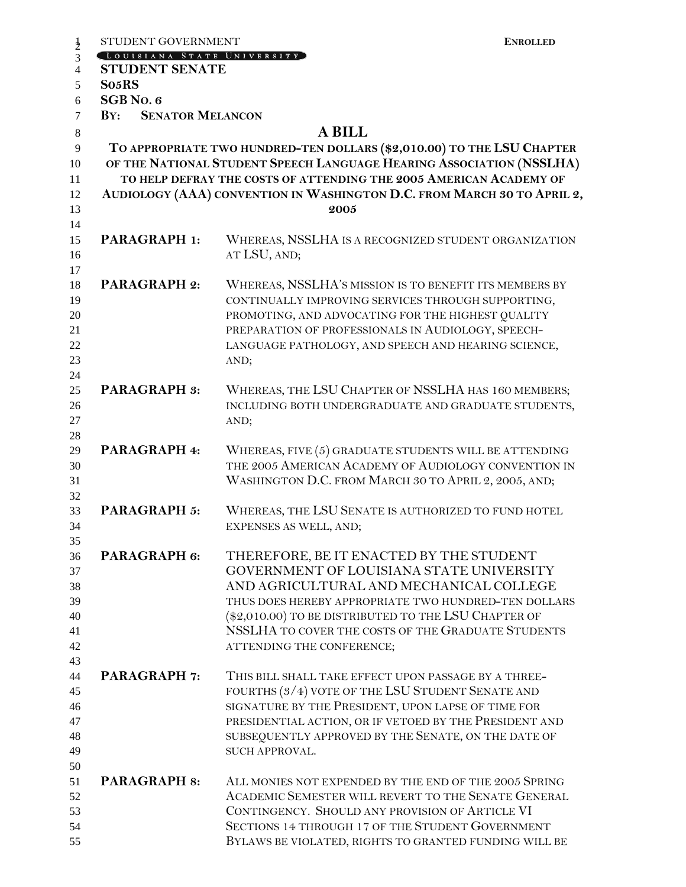|                | STUDENT GOVERNMENT                                                                                                                         | <b>ENROLLED</b>                                        |  |  |
|----------------|--------------------------------------------------------------------------------------------------------------------------------------------|--------------------------------------------------------|--|--|
| $\frac{1}{2}$  | LOUISIANA STATE UNIVERSITY                                                                                                                 |                                                        |  |  |
| $\overline{4}$ | <b>STUDENT SENATE</b>                                                                                                                      |                                                        |  |  |
| 5              | So <sub>5</sub> RS                                                                                                                         |                                                        |  |  |
| 6              | SGB No. 6                                                                                                                                  |                                                        |  |  |
| $\tau$         | <b>SENATOR MELANCON</b><br>BY:                                                                                                             |                                                        |  |  |
| 8              | <b>A BILL</b>                                                                                                                              |                                                        |  |  |
| $\overline{9}$ | TO APPROPRIATE TWO HUNDRED-TEN DOLLARS (\$2,010.00) TO THE LSU CHAPTER                                                                     |                                                        |  |  |
| 10<br>11       | OF THE NATIONAL STUDENT SPEECH LANGUAGE HEARING ASSOCIATION (NSSLHA)<br>TO HELP DEFRAY THE COSTS OF ATTENDING THE 2005 AMERICAN ACADEMY OF |                                                        |  |  |
| 12<br>13       | AUDIOLOGY (AAA) CONVENTION IN WASHINGTON D.C. FROM MARCH 30 TO APRIL 2,<br>2005                                                            |                                                        |  |  |
| 14             |                                                                                                                                            |                                                        |  |  |
| 15             | PARAGRAPH 1:                                                                                                                               | WHEREAS, NSSLHA IS A RECOGNIZED STUDENT ORGANIZATION   |  |  |
| 16             |                                                                                                                                            | AT LSU, AND;                                           |  |  |
| 17             |                                                                                                                                            |                                                        |  |  |
| 18             | <b>PARAGRAPH 2:</b>                                                                                                                        | WHEREAS, NSSLHA'S MISSION IS TO BENEFIT ITS MEMBERS BY |  |  |
| 19             |                                                                                                                                            | CONTINUALLY IMPROVING SERVICES THROUGH SUPPORTING,     |  |  |
| 20             |                                                                                                                                            | PROMOTING, AND ADVOCATING FOR THE HIGHEST QUALITY      |  |  |
| 21             |                                                                                                                                            | PREPARATION OF PROFESSIONALS IN AUDIOLOGY, SPEECH-     |  |  |
| 22             |                                                                                                                                            | LANGUAGE PATHOLOGY, AND SPEECH AND HEARING SCIENCE,    |  |  |
| 23             |                                                                                                                                            | AND;                                                   |  |  |
| 24             |                                                                                                                                            |                                                        |  |  |
| 25             | <b>PARAGRAPH 3:</b>                                                                                                                        | WHEREAS, THE LSU CHAPTER OF NSSLHA HAS 160 MEMBERS;    |  |  |
| 26             |                                                                                                                                            | INCLUDING BOTH UNDERGRADUATE AND GRADUATE STUDENTS,    |  |  |
| 27             |                                                                                                                                            | AND;                                                   |  |  |
| 28             |                                                                                                                                            |                                                        |  |  |
| 29             | PARAGRAPH 4:                                                                                                                               | WHEREAS, FIVE (5) GRADUATE STUDENTS WILL BE ATTENDING  |  |  |
| 30             |                                                                                                                                            | THE 2005 AMERICAN ACADEMY OF AUDIOLOGY CONVENTION IN   |  |  |
| 31             |                                                                                                                                            | WASHINGTON D.C. FROM MARCH 30 TO APRIL 2, 2005, AND;   |  |  |
| 32             |                                                                                                                                            |                                                        |  |  |
| 33             | <b>PARAGRAPH 5:</b>                                                                                                                        | WHEREAS, THE LSU SENATE IS AUTHORIZED TO FUND HOTEL    |  |  |
| 34             |                                                                                                                                            | EXPENSES AS WELL, AND;                                 |  |  |
| 35             |                                                                                                                                            |                                                        |  |  |
| 36             | PARAGRAPH 6:                                                                                                                               | THEREFORE, BE IT ENACTED BY THE STUDENT                |  |  |
| 37             |                                                                                                                                            | GOVERNMENT OF LOUISIANA STATE UNIVERSITY               |  |  |
| 38             |                                                                                                                                            | AND AGRICULTURAL AND MECHANICAL COLLEGE                |  |  |
| 39             |                                                                                                                                            | THUS DOES HEREBY APPROPRIATE TWO HUNDRED-TEN DOLLARS   |  |  |
| 40             |                                                                                                                                            | (\$2,010.00) TO BE DISTRIBUTED TO THE LSU CHAPTER OF   |  |  |
| 41             |                                                                                                                                            | NSSLHA TO COVER THE COSTS OF THE GRADUATE STUDENTS     |  |  |
| 42             |                                                                                                                                            | ATTENDING THE CONFERENCE;                              |  |  |
| 43             |                                                                                                                                            |                                                        |  |  |
| 44             | <b>PARAGRAPH 7:</b>                                                                                                                        | THIS BILL SHALL TAKE EFFECT UPON PASSAGE BY A THREE-   |  |  |
| 45             |                                                                                                                                            | FOURTHS (3/4) VOTE OF THE LSU STUDENT SENATE AND       |  |  |
| 46             |                                                                                                                                            | SIGNATURE BY THE PRESIDENT, UPON LAPSE OF TIME FOR     |  |  |
| 47             |                                                                                                                                            | PRESIDENTIAL ACTION, OR IF VETOED BY THE PRESIDENT AND |  |  |
| 48             |                                                                                                                                            | SUBSEQUENTLY APPROVED BY THE SENATE, ON THE DATE OF    |  |  |
| 49             |                                                                                                                                            | SUCH APPROVAL.                                         |  |  |
| 50             |                                                                                                                                            |                                                        |  |  |
| 51             | <b>PARAGRAPH 8:</b>                                                                                                                        | ALL MONIES NOT EXPENDED BY THE END OF THE 2005 SPRING  |  |  |
| 52             |                                                                                                                                            | ACADEMIC SEMESTER WILL REVERT TO THE SENATE GENERAL    |  |  |
| 53             |                                                                                                                                            | CONTINGENCY. SHOULD ANY PROVISION OF ARTICLE VI        |  |  |
| 54             |                                                                                                                                            | SECTIONS 14 THROUGH 17 OF THE STUDENT GOVERNMENT       |  |  |
| 55             |                                                                                                                                            | BYLAWS BE VIOLATED, RIGHTS TO GRANTED FUNDING WILL BE  |  |  |